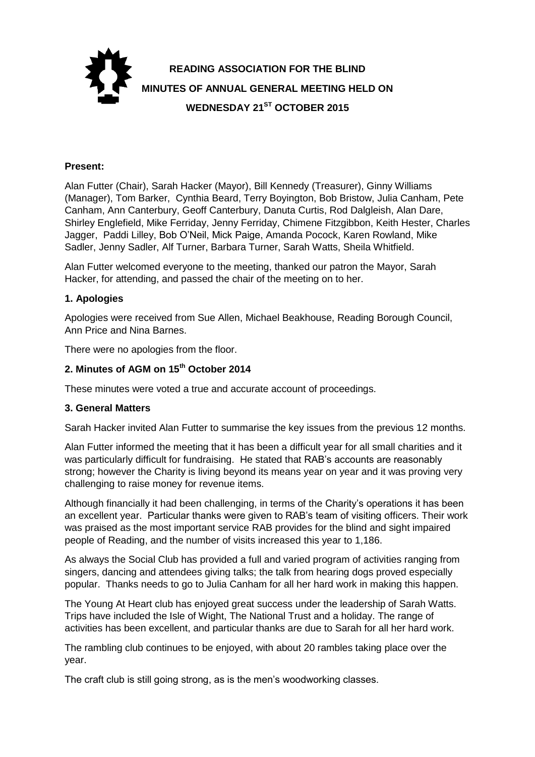

#### **Present:**

Alan Futter (Chair), Sarah Hacker (Mayor), Bill Kennedy (Treasurer), Ginny Williams (Manager), Tom Barker, Cynthia Beard, Terry Boyington, Bob Bristow, Julia Canham, Pete Canham, Ann Canterbury, Geoff Canterbury, Danuta Curtis, Rod Dalgleish, Alan Dare, Shirley Englefield, Mike Ferriday, Jenny Ferriday, Chimene Fitzgibbon, Keith Hester, Charles Jagger, Paddi Lilley, Bob O'Neil, Mick Paige, Amanda Pocock, Karen Rowland, Mike Sadler, Jenny Sadler, Alf Turner, Barbara Turner, Sarah Watts, Sheila Whitfield.

Alan Futter welcomed everyone to the meeting, thanked our patron the Mayor, Sarah Hacker, for attending, and passed the chair of the meeting on to her.

#### **1. Apologies**

Apologies were received from Sue Allen, Michael Beakhouse, Reading Borough Council, Ann Price and Nina Barnes.

There were no apologies from the floor.

#### **2. Minutes of AGM on 15th October 2014**

These minutes were voted a true and accurate account of proceedings.

#### **3. General Matters**

Sarah Hacker invited Alan Futter to summarise the key issues from the previous 12 months.

Alan Futter informed the meeting that it has been a difficult year for all small charities and it was particularly difficult for fundraising. He stated that RAB's accounts are reasonably strong; however the Charity is living beyond its means year on year and it was proving very challenging to raise money for revenue items.

Although financially it had been challenging, in terms of the Charity's operations it has been an excellent year. Particular thanks were given to RAB's team of visiting officers. Their work was praised as the most important service RAB provides for the blind and sight impaired people of Reading, and the number of visits increased this year to 1,186.

As always the Social Club has provided a full and varied program of activities ranging from singers, dancing and attendees giving talks; the talk from hearing dogs proved especially popular. Thanks needs to go to Julia Canham for all her hard work in making this happen.

The Young At Heart club has enjoyed great success under the leadership of Sarah Watts. Trips have included the Isle of Wight, The National Trust and a holiday. The range of activities has been excellent, and particular thanks are due to Sarah for all her hard work.

The rambling club continues to be enjoyed, with about 20 rambles taking place over the year.

The craft club is still going strong, as is the men's woodworking classes.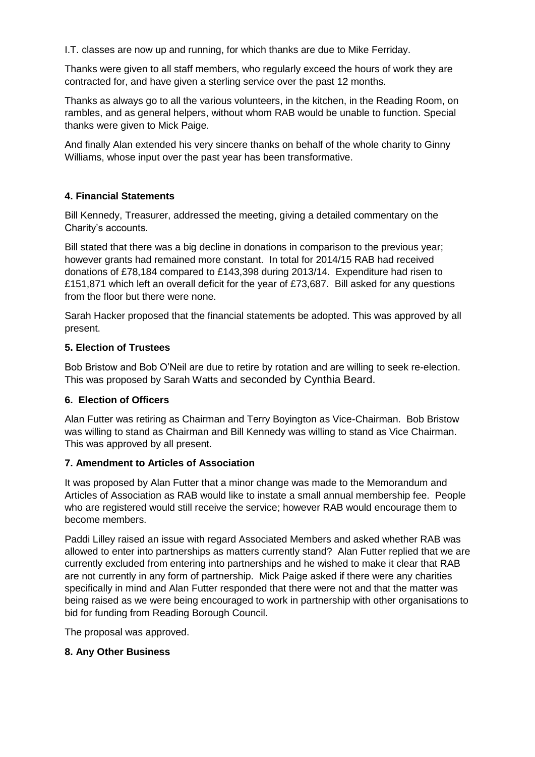I.T. classes are now up and running, for which thanks are due to Mike Ferriday.

Thanks were given to all staff members, who regularly exceed the hours of work they are contracted for, and have given a sterling service over the past 12 months.

Thanks as always go to all the various volunteers, in the kitchen, in the Reading Room, on rambles, and as general helpers, without whom RAB would be unable to function. Special thanks were given to Mick Paige.

And finally Alan extended his very sincere thanks on behalf of the whole charity to Ginny Williams, whose input over the past year has been transformative.

# **4. Financial Statements**

Bill Kennedy, Treasurer, addressed the meeting, giving a detailed commentary on the Charity's accounts.

Bill stated that there was a big decline in donations in comparison to the previous year; however grants had remained more constant. In total for 2014/15 RAB had received donations of £78,184 compared to £143,398 during 2013/14. Expenditure had risen to £151,871 which left an overall deficit for the year of £73,687. Bill asked for any questions from the floor but there were none.

Sarah Hacker proposed that the financial statements be adopted. This was approved by all present.

### **5. Election of Trustees**

Bob Bristow and Bob O'Neil are due to retire by rotation and are willing to seek re-election. This was proposed by Sarah Watts and seconded by Cynthia Beard.

# **6. Election of Officers**

Alan Futter was retiring as Chairman and Terry Boyington as Vice-Chairman. Bob Bristow was willing to stand as Chairman and Bill Kennedy was willing to stand as Vice Chairman. This was approved by all present.

# **7. Amendment to Articles of Association**

It was proposed by Alan Futter that a minor change was made to the Memorandum and Articles of Association as RAB would like to instate a small annual membership fee. People who are registered would still receive the service; however RAB would encourage them to become members.

Paddi Lilley raised an issue with regard Associated Members and asked whether RAB was allowed to enter into partnerships as matters currently stand? Alan Futter replied that we are currently excluded from entering into partnerships and he wished to make it clear that RAB are not currently in any form of partnership. Mick Paige asked if there were any charities specifically in mind and Alan Futter responded that there were not and that the matter was being raised as we were being encouraged to work in partnership with other organisations to bid for funding from Reading Borough Council.

The proposal was approved.

# **8. Any Other Business**